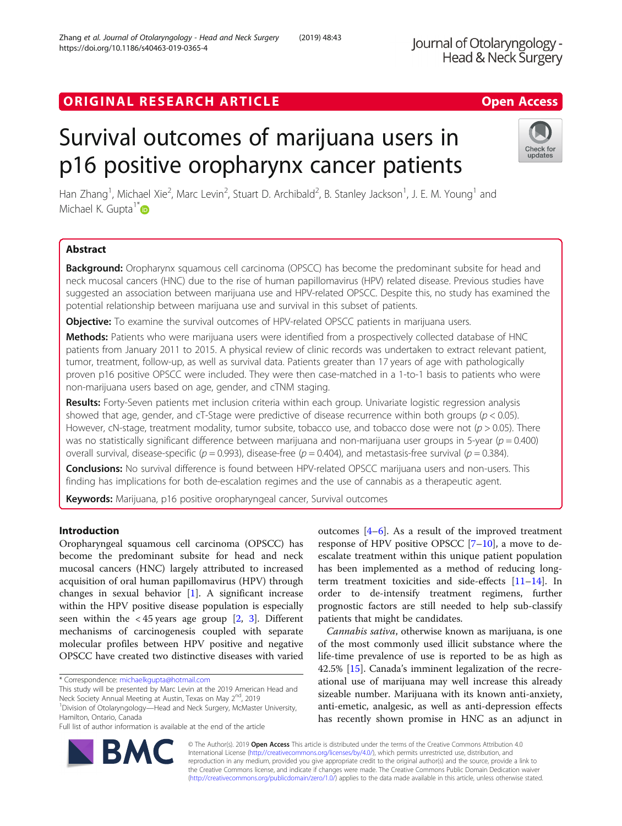# ORIGINAL RESEARCH ARTICLE **Example 20 and 20 and 20 and 20 and 20 and 20 and 20 and 20 and 20 and 20 and 20 and 20 and 20 and 20 and 20 and 20 and 20 and 20 and 20 and 20 and 20 and 20 and 20 and 20 and 20 and 20 and 20 an**

# Survival outcomes of marijuana users in p16 positive oropharynx cancer patients

Han Zhang<sup>1</sup>, Michael Xie<sup>2</sup>, Marc Levin<sup>2</sup>, Stuart D. Archibald<sup>2</sup>, B. Stanley Jackson<sup>1</sup>, J. E. M. Young<sup>1</sup> and Michael K. Gupta<sup>1[\\*](http://orcid.org/0000-0002-1075-2893)</sup>D

# Abstract

**Background:** Oropharynx squamous cell carcinoma (OPSCC) has become the predominant subsite for head and neck mucosal cancers (HNC) due to the rise of human papillomavirus (HPV) related disease. Previous studies have suggested an association between marijuana use and HPV-related OPSCC. Despite this, no study has examined the potential relationship between marijuana use and survival in this subset of patients.

**Objective:** To examine the survival outcomes of HPV-related OPSCC patients in marijuana users.

Methods: Patients who were marijuana users were identified from a prospectively collected database of HNC patients from January 2011 to 2015. A physical review of clinic records was undertaken to extract relevant patient, tumor, treatment, follow-up, as well as survival data. Patients greater than 17 years of age with pathologically proven p16 positive OPSCC were included. They were then case-matched in a 1-to-1 basis to patients who were non-marijuana users based on age, gender, and cTNM staging.

Results: Forty-Seven patients met inclusion criteria within each group. Univariate logistic regression analysis showed that age, gender, and cT-Stage were predictive of disease recurrence within both groups ( $p < 0.05$ ). However, cN-stage, treatment modality, tumor subsite, tobacco use, and tobacco dose were not ( $p > 0.05$ ). There was no statistically significant difference between marijuana and non-marijuana user groups in 5-year ( $p = 0.400$ ) overall survival, disease-specific ( $p = 0.993$ ), disease-free ( $p = 0.404$ ), and metastasis-free survival ( $p = 0.384$ ).

**Conclusions:** No survival difference is found between HPV-related OPSCC marijuana users and non-users. This finding has implications for both de-escalation regimes and the use of cannabis as a therapeutic agent.

Keywords: Marijuana, p16 positive oropharyngeal cancer, Survival outcomes

# Introduction

Oropharyngeal squamous cell carcinoma (OPSCC) has become the predominant subsite for head and neck mucosal cancers (HNC) largely attributed to increased acquisition of oral human papillomavirus (HPV) through changes in sexual behavior [\[1](#page-5-0)]. A significant increase within the HPV positive disease population is especially seen within the  $\langle 45 \rangle$  years age group [\[2,](#page-5-0) [3](#page-5-0)]. Different mechanisms of carcinogenesis coupled with separate molecular profiles between HPV positive and negative OPSCC have created two distinctive diseases with varied

\* Correspondence: [michaelkgupta@hotmail.com](mailto:michaelkgupta@hotmail.com)

This study will be presented by Marc Levin at the 2019 American Head and Neck Society Annual Meeting at Austin, Texas on May 2<sup>nd</sup>, 2019

<sup>1</sup> Division of Otolaryngology—Head and Neck Surgery, McMaster University, Hamilton, Ontario, Canada

Full list of author information is available at the end of the article

outcomes  $[4-6]$  $[4-6]$  $[4-6]$  $[4-6]$ . As a result of the improved treatment response of HPV positive OPSCC [\[7](#page-5-0)–[10\]](#page-5-0), a move to deescalate treatment within this unique patient population has been implemented as a method of reducing longterm treatment toxicities and side-effects [\[11](#page-5-0)–[14\]](#page-5-0). In order to de-intensify treatment regimens, further prognostic factors are still needed to help sub-classify patients that might be candidates.

Cannabis sativa, otherwise known as marijuana, is one of the most commonly used illicit substance where the life-time prevalence of use is reported to be as high as 42.5% [\[15\]](#page-5-0). Canada's imminent legalization of the recreational use of marijuana may well increase this already sizeable number. Marijuana with its known anti-anxiety, anti-emetic, analgesic, as well as anti-depression effects has recently shown promise in HNC as an adjunct in

© The Author(s). 2019 **Open Access** This article is distributed under the terms of the Creative Commons Attribution 4.0 International License [\(http://creativecommons.org/licenses/by/4.0/](http://creativecommons.org/licenses/by/4.0/)), which permits unrestricted use, distribution, and reproduction in any medium, provided you give appropriate credit to the original author(s) and the source, provide a link to the Creative Commons license, and indicate if changes were made. The Creative Commons Public Domain Dedication waiver [\(http://creativecommons.org/publicdomain/zero/1.0/](http://creativecommons.org/publicdomain/zero/1.0/)) applies to the data made available in this article, unless otherwise stated.



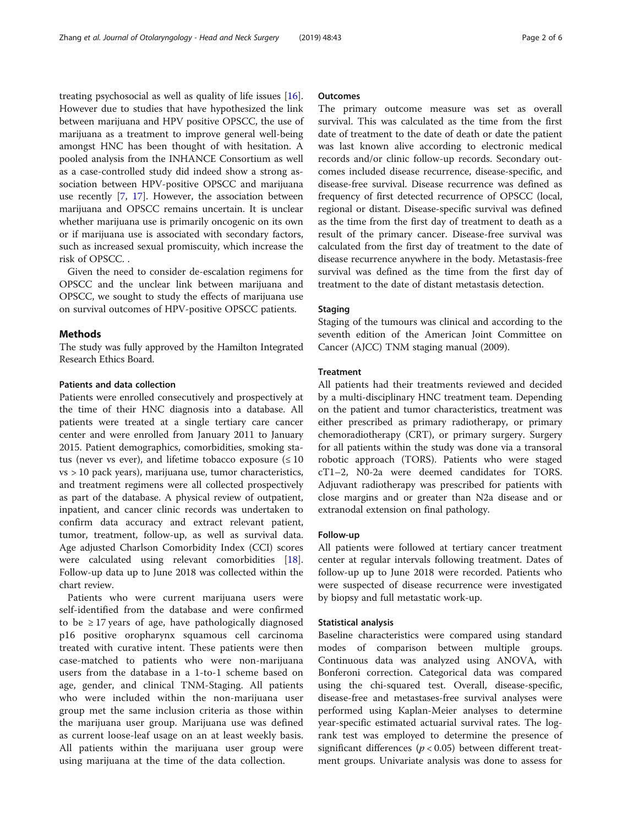treating psychosocial as well as quality of life issues [\[16](#page-5-0)]. However due to studies that have hypothesized the link between marijuana and HPV positive OPSCC, the use of marijuana as a treatment to improve general well-being amongst HNC has been thought of with hesitation. A pooled analysis from the INHANCE Consortium as well as a case-controlled study did indeed show a strong association between HPV-positive OPSCC and marijuana use recently [\[7](#page-5-0), [17\]](#page-5-0). However, the association between marijuana and OPSCC remains uncertain. It is unclear whether marijuana use is primarily oncogenic on its own or if marijuana use is associated with secondary factors, such as increased sexual promiscuity, which increase the risk of OPSCC. .

Given the need to consider de-escalation regimens for OPSCC and the unclear link between marijuana and OPSCC, we sought to study the effects of marijuana use on survival outcomes of HPV-positive OPSCC patients.

#### Methods

The study was fully approved by the Hamilton Integrated Research Ethics Board.

# Patients and data collection

Patients were enrolled consecutively and prospectively at the time of their HNC diagnosis into a database. All patients were treated at a single tertiary care cancer center and were enrolled from January 2011 to January 2015. Patient demographics, comorbidities, smoking status (never vs ever), and lifetime tobacco exposure  $(\leq 10$ vs > 10 pack years), marijuana use, tumor characteristics, and treatment regimens were all collected prospectively as part of the database. A physical review of outpatient, inpatient, and cancer clinic records was undertaken to confirm data accuracy and extract relevant patient, tumor, treatment, follow-up, as well as survival data. Age adjusted Charlson Comorbidity Index (CCI) scores were calculated using relevant comorbidities [\[18](#page-5-0)]. Follow-up data up to June 2018 was collected within the chart review.

Patients who were current marijuana users were self-identified from the database and were confirmed to be  $\geq$  17 years of age, have pathologically diagnosed p16 positive oropharynx squamous cell carcinoma treated with curative intent. These patients were then case-matched to patients who were non-marijuana users from the database in a 1-to-1 scheme based on age, gender, and clinical TNM-Staging. All patients who were included within the non-marijuana user group met the same inclusion criteria as those within the marijuana user group. Marijuana use was defined as current loose-leaf usage on an at least weekly basis. All patients within the marijuana user group were using marijuana at the time of the data collection.

### **Outcomes**

The primary outcome measure was set as overall survival. This was calculated as the time from the first date of treatment to the date of death or date the patient was last known alive according to electronic medical records and/or clinic follow-up records. Secondary outcomes included disease recurrence, disease-specific, and disease-free survival. Disease recurrence was defined as frequency of first detected recurrence of OPSCC (local, regional or distant. Disease-specific survival was defined as the time from the first day of treatment to death as a result of the primary cancer. Disease-free survival was calculated from the first day of treatment to the date of disease recurrence anywhere in the body. Metastasis-free survival was defined as the time from the first day of treatment to the date of distant metastasis detection.

### **Staging**

Staging of the tumours was clinical and according to the seventh edition of the American Joint Committee on Cancer (AJCC) TNM staging manual (2009).

#### **Treatment**

All patients had their treatments reviewed and decided by a multi-disciplinary HNC treatment team. Depending on the patient and tumor characteristics, treatment was either prescribed as primary radiotherapy, or primary chemoradiotherapy (CRT), or primary surgery. Surgery for all patients within the study was done via a transoral robotic approach (TORS). Patients who were staged cT1–2, N0-2a were deemed candidates for TORS. Adjuvant radiotherapy was prescribed for patients with close margins and or greater than N2a disease and or extranodal extension on final pathology.

#### Follow-up

All patients were followed at tertiary cancer treatment center at regular intervals following treatment. Dates of follow-up up to June 2018 were recorded. Patients who were suspected of disease recurrence were investigated by biopsy and full metastatic work-up.

#### Statistical analysis

Baseline characteristics were compared using standard modes of comparison between multiple groups. Continuous data was analyzed using ANOVA, with Bonferoni correction. Categorical data was compared using the chi-squared test. Overall, disease-specific, disease-free and metastases-free survival analyses were performed using Kaplan-Meier analyses to determine year-specific estimated actuarial survival rates. The logrank test was employed to determine the presence of significant differences ( $p < 0.05$ ) between different treatment groups. Univariate analysis was done to assess for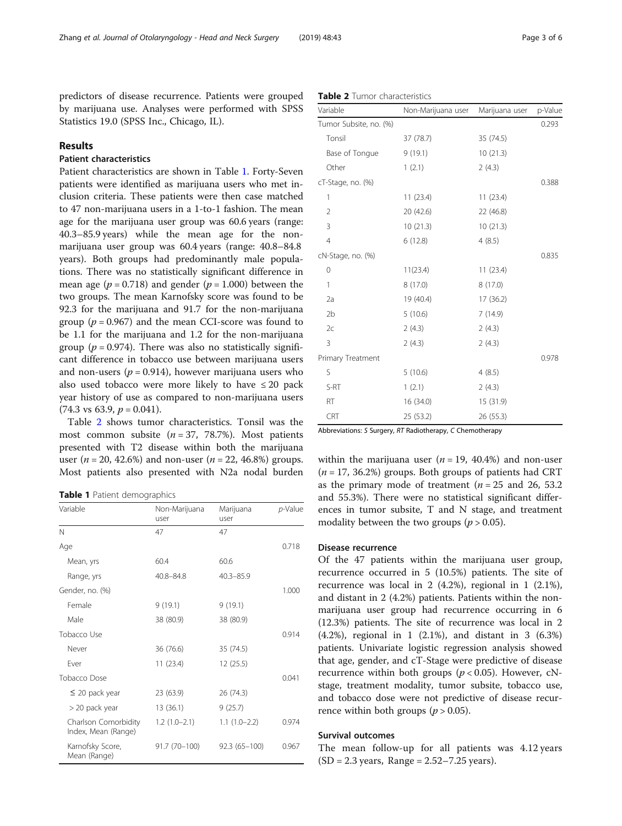predictors of disease recurrence. Patients were grouped by marijuana use. Analyses were performed with SPSS Statistics 19.0 (SPSS Inc., Chicago, IL).

# Results

# Patient characteristics

Patient characteristics are shown in Table 1. Forty-Seven patients were identified as marijuana users who met inclusion criteria. These patients were then case matched to 47 non-marijuana users in a 1-to-1 fashion. The mean age for the marijuana user group was 60.6 years (range: 40.3–85.9 years) while the mean age for the nonmarijuana user group was 60.4 years (range: 40.8–84.8 years). Both groups had predominantly male populations. There was no statistically significant difference in mean age ( $p = 0.718$ ) and gender ( $p = 1.000$ ) between the two groups. The mean Karnofsky score was found to be 92.3 for the marijuana and 91.7 for the non-marijuana group ( $p = 0.967$ ) and the mean CCI-score was found to be 1.1 for the marijuana and 1.2 for the non-marijuana group ( $p = 0.974$ ). There was also no statistically significant difference in tobacco use between marijuana users and non-users ( $p = 0.914$ ), however marijuana users who also used tobacco were more likely to have  $\leq 20$  pack year history of use as compared to non-marijuana users  $(74.3 \text{ vs } 63.9, p = 0.041).$ 

Table 2 shows tumor characteristics. Tonsil was the most common subsite  $(n = 37, 78.7\%)$ . Most patients presented with T2 disease within both the marijuana user ( $n = 20, 42.6\%$ ) and non-user ( $n = 22, 46.8\%$ ) groups. Most patients also presented with N2a nodal burden

Table 1 Patient demographics

| Variable                                    | Non-Marijuana<br>user | Marijuana<br>user | $p$ -Value |
|---------------------------------------------|-----------------------|-------------------|------------|
| N                                           | 47                    | 47                |            |
| Age                                         |                       |                   | 0.718      |
| Mean, yrs                                   | 60.4                  | 60.6              |            |
| Range, yrs                                  | 40.8-84.8             | $40.3 - 85.9$     |            |
| Gender, no. (%)                             |                       |                   | 1.000      |
| Female                                      | 9(19.1)               | 9(19.1)           |            |
| Male                                        | 38 (80.9)             | 38 (80.9)         |            |
| Tobacco Use                                 |                       |                   | 0.914      |
| Never                                       | 36 (76.6)             | 35 (74.5)         |            |
| Fver                                        | 11(23.4)              | 12 (25.5)         |            |
| Tobacco Dose                                |                       |                   | 0.041      |
| $\leq$ 20 pack year                         | 23 (63.9)             | 26 (74.3)         |            |
| > 20 pack year                              | 13 (36.1)             | 9(25.7)           |            |
| Charlson Comorbidity<br>Index, Mean (Range) | $1.2(1.0-2.1)$        | $1.1(1.0-2.2)$    | 0.974      |
| Karnofsky Score,<br>Mean (Range)            | $91.7(70-100)$        | $92.3(65 - 100)$  | 0.967      |

| 1                 | 11(23.4)  | 11(23.4)  |       |
|-------------------|-----------|-----------|-------|
| 2                 | 20 (42.6) | 22 (46.8) |       |
| 3                 | 10(21.3)  | 10(21.3)  |       |
| $\overline{4}$    | 6(12.8)   | 4(8.5)    |       |
| cN-Stage, no. (%) |           |           | 0.835 |
| 0                 | 11(23.4)  | 11(23.4)  |       |
| 1                 | 8(17.0)   | 8(17.0)   |       |
| 2a                | 19 (40.4) | 17(36.2)  |       |
| 2b                | 5(10.6)   | 7(14.9)   |       |
| 2c                | 2(4.3)    | 2(4.3)    |       |
| 3                 | 2(4.3)    | 2(4.3)    |       |
| Primary Treatment |           |           | 0.978 |
| S                 | 5(10.6)   | 4(8.5)    |       |

Table 2 Tumor characteristics

Variable Non-Marijuana user Marijuana user p-Value Tumor Subsite, no. (%) 0.293 Tonsil 37 (78.7) 35 (74.5) Base of Tongue 9 (19.1) 10 (21.3) Other 1 (2.1) 2 (4.3) cT-Stage, no. (%) 0.388

> CRT 25 (53.2) 26 (55.3) Abbreviations: S Surgery, RT Radiotherapy, C Chemotherapy

S-RT 1 (2.1) 2 (4.3) RT 16 (34.0) 15 (31.9)

within the marijuana user ( $n = 19$ , 40.4%) and non-user  $(n = 17, 36.2%)$  groups. Both groups of patients had CRT as the primary mode of treatment ( $n = 25$  and 26, 53.2) and 55.3%). There were no statistical significant differences in tumor subsite, T and N stage, and treatment modality between the two groups ( $p > 0.05$ ).

# Disease recurrence

Of the 47 patients within the marijuana user group, recurrence occurred in 5 (10.5%) patients. The site of recurrence was local in 2 (4.2%), regional in 1 (2.1%), and distant in 2 (4.2%) patients. Patients within the nonmarijuana user group had recurrence occurring in 6 (12.3%) patients. The site of recurrence was local in 2 (4.2%), regional in 1 (2.1%), and distant in 3 (6.3%) patients. Univariate logistic regression analysis showed that age, gender, and cT-Stage were predictive of disease recurrence within both groups ( $p < 0.05$ ). However, cNstage, treatment modality, tumor subsite, tobacco use, and tobacco dose were not predictive of disease recurrence within both groups ( $p > 0.05$ ).

# Survival outcomes

The mean follow-up for all patients was 4.12 years  $(SD = 2.3 \text{ years}, \text{ Range} = 2.52 - 7.25 \text{ years}).$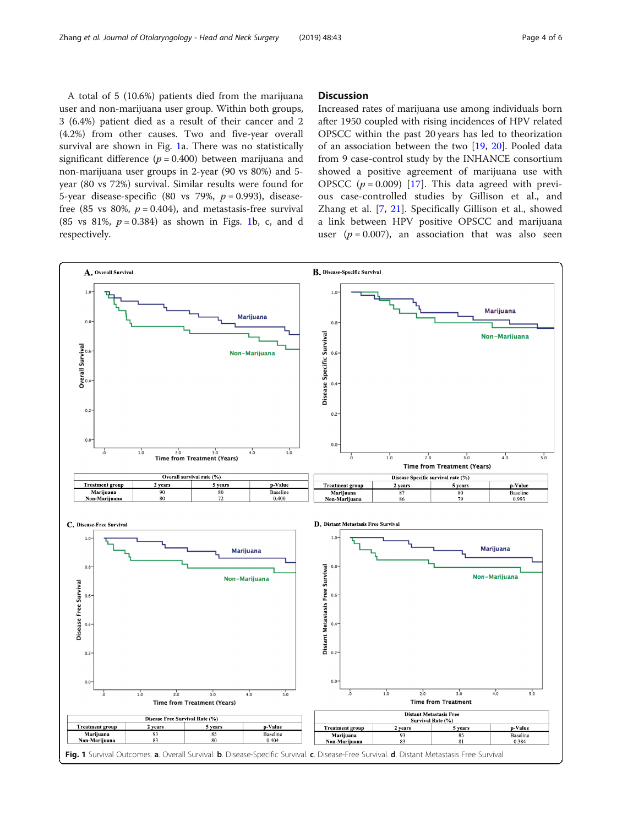A total of 5 (10.6%) patients died from the marijuana user and non-marijuana user group. Within both groups, 3 (6.4%) patient died as a result of their cancer and 2 (4.2%) from other causes. Two and five-year overall survival are shown in Fig. 1a. There was no statistically significant difference ( $p = 0.400$ ) between marijuana and non-marijuana user groups in 2-year (90 vs 80%) and 5 year (80 vs 72%) survival. Similar results were found for 5-year disease-specific (80 vs 79%,  $p = 0.993$ ), diseasefree (85 vs 80%,  $p = 0.404$ ), and metastasis-free survival (85 vs 81%,  $p = 0.384$ ) as shown in Figs. 1b, c, and d respectively.

# **Discussion**

Increased rates of marijuana use among individuals born after 1950 coupled with rising incidences of HPV related OPSCC within the past 20 years has led to theorization of an association between the two [[19,](#page-5-0) [20\]](#page-5-0). Pooled data from 9 case-control study by the INHANCE consortium showed a positive agreement of marijuana use with OPSCC  $(p = 0.009)$  [\[17](#page-5-0)]. This data agreed with previous case-controlled studies by Gillison et al., and Zhang et al. [\[7](#page-5-0), [21](#page-5-0)]. Specifically Gillison et al., showed a link between HPV positive OPSCC and marijuana user ( $p = 0.007$ ), an association that was also seen

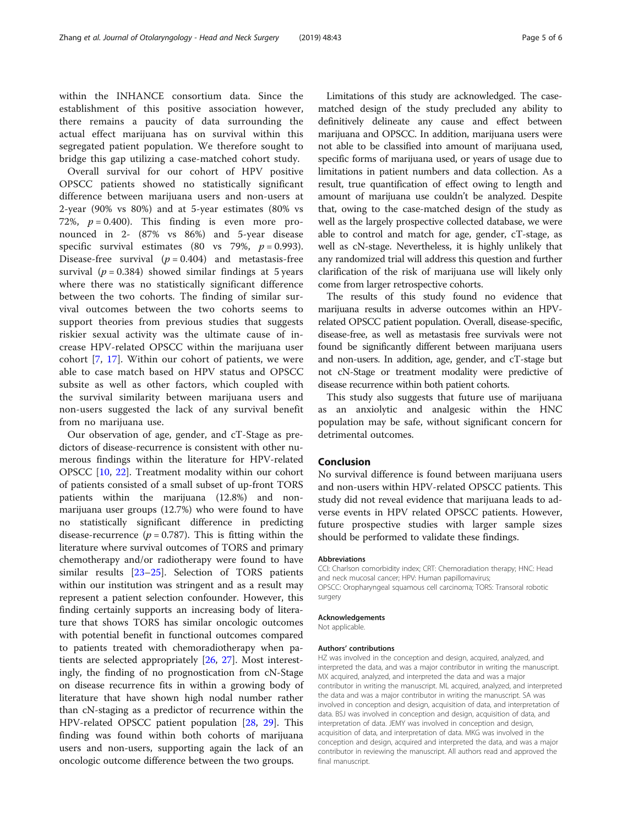within the INHANCE consortium data. Since the establishment of this positive association however, there remains a paucity of data surrounding the actual effect marijuana has on survival within this segregated patient population. We therefore sought to bridge this gap utilizing a case-matched cohort study.

Overall survival for our cohort of HPV positive OPSCC patients showed no statistically significant difference between marijuana users and non-users at 2-year (90% vs 80%) and at 5-year estimates (80% vs 72%,  $p = 0.400$ ). This finding is even more pronounced in 2- (87% vs 86%) and 5-year disease specific survival estimates (80 vs 79%,  $p = 0.993$ ). Disease-free survival  $(p = 0.404)$  and metastasis-free survival ( $p = 0.384$ ) showed similar findings at 5 years where there was no statistically significant difference between the two cohorts. The finding of similar survival outcomes between the two cohorts seems to support theories from previous studies that suggests riskier sexual activity was the ultimate cause of increase HPV-related OPSCC within the marijuana user cohort [\[7](#page-5-0), [17](#page-5-0)]. Within our cohort of patients, we were able to case match based on HPV status and OPSCC subsite as well as other factors, which coupled with the survival similarity between marijuana users and non-users suggested the lack of any survival benefit from no marijuana use.

Our observation of age, gender, and cT-Stage as predictors of disease-recurrence is consistent with other numerous findings within the literature for HPV-related OPSCC [\[10,](#page-5-0) [22\]](#page-5-0). Treatment modality within our cohort of patients consisted of a small subset of up-front TORS patients within the marijuana (12.8%) and nonmarijuana user groups (12.7%) who were found to have no statistically significant difference in predicting disease-recurrence ( $p = 0.787$ ). This is fitting within the literature where survival outcomes of TORS and primary chemotherapy and/or radiotherapy were found to have similar results [[23](#page-5-0)–[25](#page-5-0)]. Selection of TORS patients within our institution was stringent and as a result may represent a patient selection confounder. However, this finding certainly supports an increasing body of literature that shows TORS has similar oncologic outcomes with potential benefit in functional outcomes compared to patients treated with chemoradiotherapy when patients are selected appropriately [[26](#page-5-0), [27](#page-5-0)]. Most interestingly, the finding of no prognostication from cN-Stage on disease recurrence fits in within a growing body of literature that have shown high nodal number rather than cN-staging as a predictor of recurrence within the HPV-related OPSCC patient population [\[28,](#page-5-0) [29\]](#page-5-0). This finding was found within both cohorts of marijuana users and non-users, supporting again the lack of an oncologic outcome difference between the two groups.

Limitations of this study are acknowledged. The casematched design of the study precluded any ability to definitively delineate any cause and effect between marijuana and OPSCC. In addition, marijuana users were not able to be classified into amount of marijuana used, specific forms of marijuana used, or years of usage due to limitations in patient numbers and data collection. As a result, true quantification of effect owing to length and amount of marijuana use couldn't be analyzed. Despite that, owing to the case-matched design of the study as well as the largely prospective collected database, we were able to control and match for age, gender, cT-stage, as well as cN-stage. Nevertheless, it is highly unlikely that any randomized trial will address this question and further clarification of the risk of marijuana use will likely only come from larger retrospective cohorts.

The results of this study found no evidence that marijuana results in adverse outcomes within an HPVrelated OPSCC patient population. Overall, disease-specific, disease-free, as well as metastasis free survivals were not found be significantly different between marijuana users and non-users. In addition, age, gender, and cT-stage but not cN-Stage or treatment modality were predictive of disease recurrence within both patient cohorts.

This study also suggests that future use of marijuana as an anxiolytic and analgesic within the HNC population may be safe, without significant concern for detrimental outcomes.

## Conclusion

No survival difference is found between marijuana users and non-users within HPV-related OPSCC patients. This study did not reveal evidence that marijuana leads to adverse events in HPV related OPSCC patients. However, future prospective studies with larger sample sizes should be performed to validate these findings.

#### Abbreviations

CCI: Charlson comorbidity index; CRT: Chemoradiation therapy; HNC: Head and neck mucosal cancer; HPV: Human papillomavirus; OPSCC: Oropharyngeal squamous cell carcinoma; TORS: Transoral robotic surgery

#### Acknowledgements

Not applicable.

#### Authors' contributions

HZ was involved in the conception and design, acquired, analyzed, and interpreted the data, and was a major contributor in writing the manuscript. MX acquired, analyzed, and interpreted the data and was a major contributor in writing the manuscript. ML acquired, analyzed, and interpreted the data and was a major contributor in writing the manuscript. SA was involved in conception and design, acquisition of data, and interpretation of data. BSJ was involved in conception and design, acquisition of data, and interpretation of data. JEMY was involved in conception and design, acquisition of data, and interpretation of data. MKG was involved in the conception and design, acquired and interpreted the data, and was a major contributor in reviewing the manuscript. All authors read and approved the final manuscript.